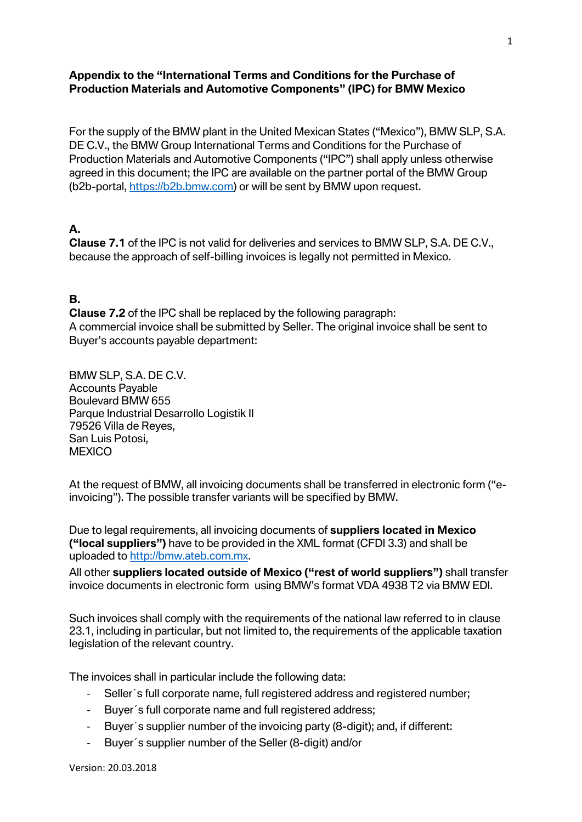#### **Appendix to the "International Terms and Conditions for the Purchase of Production Materials and Automotive Components" (IPC) for BMW Mexico**

For the supply of the BMW plant in the United Mexican States ("Mexico"), BMW SLP, S.A. DE C.V., the BMW Group International Terms and Conditions for the Purchase of Production Materials and Automotive Components ("IPC") shall apply unless otherwise agreed in this document; the IPC are available on the partner portal of the BMW Group (b2b-portal, [https://b2b.bmw.com\)](https://b2b.bmw.com/) or will be sent by BMW upon request.

### **A.**

**Clause 7.1** of the IPC is not valid for deliveries and services to BMW SLP, S.A. DE C.V., because the approach of self-billing invoices is legally not permitted in Mexico.

#### **B.**

**Clause 7.2** of the IPC shall be replaced by the following paragraph: A commercial invoice shall be submitted by Seller. The original invoice shall be sent to Buyer's accounts payable department:

BMW SLP, S.A. DE C.V. Accounts Payable Boulevard BMW 655 Parque Industrial Desarrollo Logistik II 79526 Villa de Reyes, San Luis Potosi, **MEXICO** 

At the request of BMW, all invoicing documents shall be transferred in electronic form ("einvoicing"). The possible transfer variants will be specified by BMW.

Due to legal requirements, all invoicing documents of **suppliers located in Mexico ("local suppliers")** have to be provided in the XML format (CFDI 3.3) and shall be uploaded to [http://bmw.ateb.com.mx.](http://bmw.ateb.com.mx/)

All other **suppliers located outside of Mexico ("rest of world suppliers")** shall transfer invoice documents in electronic form using BMW's format VDA 4938 T2 via BMW EDI.

Such invoices shall comply with the requirements of the national law referred to in clause 23.1, including in particular, but not limited to, the requirements of the applicable taxation legislation of the relevant country.

The invoices shall in particular include the following data:

- Seller´s full corporate name, full registered address and registered number;
- Buyer´s full corporate name and full registered address;
- Buyer´s supplier number of the invoicing party (8-digit); and, if different:
- Buyer´s supplier number of the Seller (8-digit) and/or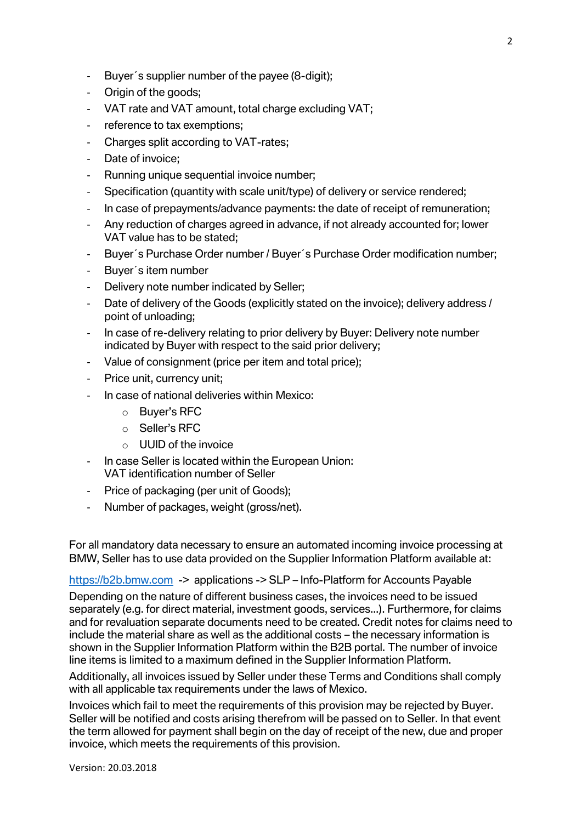- Buyer´s supplier number of the payee (8-digit);
- Origin of the goods;
- VAT rate and VAT amount, total charge excluding VAT;
- reference to tax exemptions;
- Charges split according to VAT-rates;
- Date of invoice;
- Running unique sequential invoice number;
- Specification (quantity with scale unit/type) of delivery or service rendered;
- In case of prepayments/advance payments: the date of receipt of remuneration;
- Any reduction of charges agreed in advance, if not already accounted for; lower VAT value has to be stated;
- Buyer´s Purchase Order number / Buyer´s Purchase Order modification number;
- Buyer´s item number
- Delivery note number indicated by Seller;
- Date of delivery of the Goods (explicitly stated on the invoice); delivery address / point of unloading;
- In case of re-delivery relating to prior delivery by Buyer: Delivery note number indicated by Buyer with respect to the said prior delivery;
- Value of consignment (price per item and total price);
- Price unit, currency unit;
- In case of national deliveries within Mexico:
	- o Buyer's RFC
	- o Seller's RFC
	- $\circ$  UUID of the invoice
- In case Seller is located within the European Union: VAT identification number of Seller
- Price of packaging (per unit of Goods);
- Number of packages, weight (gross/net).

For all mandatory data necessary to ensure an automated incoming invoice processing at BMW, Seller has to use data provided on the Supplier Information Platform available at:

[https://b2b.bmw.com](https://b2b.bmw.com/) -> applications -> SLP – Info-Platform for Accounts Payable

Depending on the nature of different business cases, the invoices need to be issued separately (e.g. for direct material, investment goods, services...). Furthermore, for claims and for revaluation separate documents need to be created. Credit notes for claims need to include the material share as well as the additional costs – the necessary information is shown in the Supplier Information Platform within the B2B portal. The number of invoice line items is limited to a maximum defined in the Supplier Information Platform.

Additionally, all invoices issued by Seller under these Terms and Conditions shall comply with all applicable tax requirements under the laws of Mexico.

Invoices which fail to meet the requirements of this provision may be rejected by Buyer. Seller will be notified and costs arising therefrom will be passed on to Seller. In that event the term allowed for payment shall begin on the day of receipt of the new, due and proper invoice, which meets the requirements of this provision.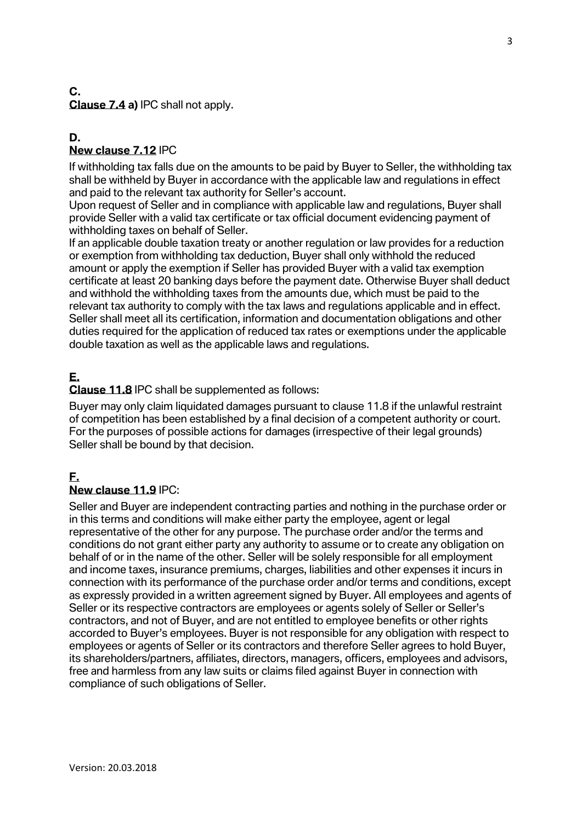#### **C. Clause 7.4 a)** IPC shall not apply.

#### **D. New clause 7.12** IPC

If withholding tax falls due on the amounts to be paid by Buyer to Seller, the withholding tax shall be withheld by Buyer in accordance with the applicable law and regulations in effect and paid to the relevant tax authority for Seller's account.

Upon request of Seller and in compliance with applicable law and regulations, Buyer shall provide Seller with a valid tax certificate or tax official document evidencing payment of withholding taxes on behalf of Seller.

If an applicable double taxation treaty or another regulation or law provides for a reduction or exemption from withholding tax deduction, Buyer shall only withhold the reduced amount or apply the exemption if Seller has provided Buyer with a valid tax exemption certificate at least 20 banking days before the payment date. Otherwise Buyer shall deduct and withhold the withholding taxes from the amounts due, which must be paid to the relevant tax authority to comply with the tax laws and regulations applicable and in effect. Seller shall meet all its certification, information and documentation obligations and other duties required for the application of reduced tax rates or exemptions under the applicable double taxation as well as the applicable laws and regulations.

# **E.**

**Clause 11.8** IPC shall be supplemented as follows:

Buyer may only claim liquidated damages pursuant to clause 11.8 if the unlawful restraint of competition has been established by a final decision of a competent authority or court. For the purposes of possible actions for damages (irrespective of their legal grounds) Seller shall be bound by that decision.

## **F.**

#### **New clause 11.9** IPC:

Seller and Buyer are independent contracting parties and nothing in the purchase order or in this terms and conditions will make either party the employee, agent or legal representative of the other for any purpose. The purchase order and/or the terms and conditions do not grant either party any authority to assume or to create any obligation on behalf of or in the name of the other. Seller will be solely responsible for all employment and income taxes, insurance premiums, charges, liabilities and other expenses it incurs in connection with its performance of the purchase order and/or terms and conditions, except as expressly provided in a written agreement signed by Buyer. All employees and agents of Seller or its respective contractors are employees or agents solely of Seller or Seller's contractors, and not of Buyer, and are not entitled to employee benefits or other rights accorded to Buyer's employees. Buyer is not responsible for any obligation with respect to employees or agents of Seller or its contractors and therefore Seller agrees to hold Buyer, its shareholders/partners, affiliates, directors, managers, officers, employees and advisors, free and harmless from any law suits or claims filed against Buyer in connection with compliance of such obligations of Seller.